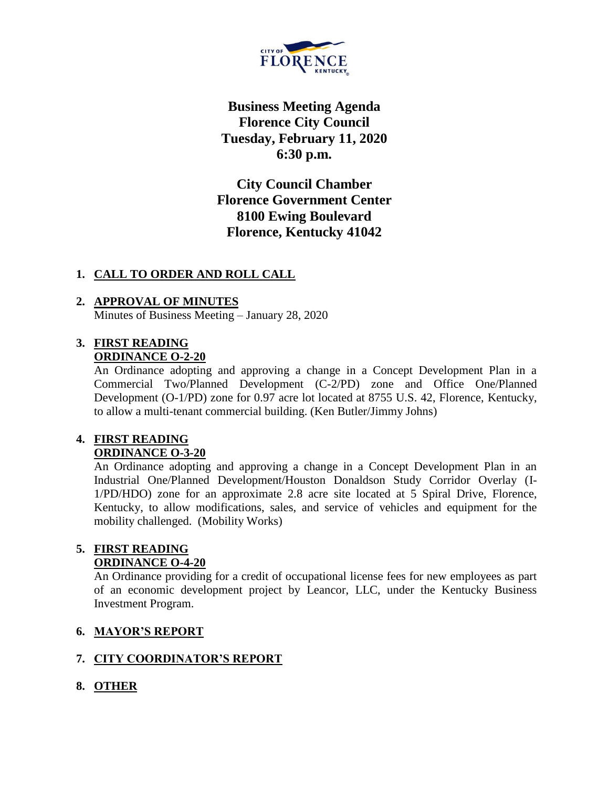

**Business Meeting Agenda Florence City Council Tuesday, February 11, 2020 6:30 p.m.**

**City Council Chamber Florence Government Center 8100 Ewing Boulevard Florence, Kentucky 41042**

### **1. CALL TO ORDER AND ROLL CALL**

#### **2. APPROVAL OF MINUTES** Minutes of Business Meeting – January 28, 2020

#### **3. FIRST READING ORDINANCE O-2-20**

An Ordinance adopting and approving a change in a Concept Development Plan in a Commercial Two/Planned Development (C-2/PD) zone and Office One/Planned Development (O-1/PD) zone for 0.97 acre lot located at 8755 U.S. 42, Florence, Kentucky, to allow a multi-tenant commercial building. (Ken Butler/Jimmy Johns)

### **4. FIRST READING ORDINANCE O-3-20**

An Ordinance adopting and approving a change in a Concept Development Plan in an Industrial One/Planned Development/Houston Donaldson Study Corridor Overlay (I-1/PD/HDO) zone for an approximate 2.8 acre site located at 5 Spiral Drive, Florence, Kentucky, to allow modifications, sales, and service of vehicles and equipment for the mobility challenged. (Mobility Works)

#### **5. FIRST READING ORDINANCE O-4-20**

An Ordinance providing for a credit of occupational license fees for new employees as part of an economic development project by Leancor, LLC, under the Kentucky Business Investment Program.

# **6. MAYOR'S REPORT**

# **7. CITY COORDINATOR'S REPORT**

# **8. OTHER**